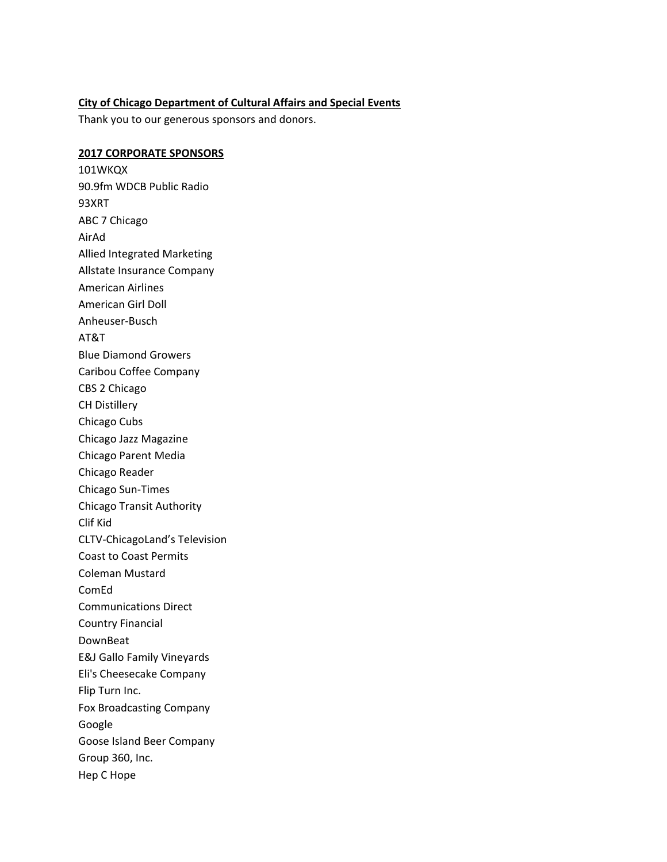## **City of Chicago Department of Cultural Affairs and Special Events**

Thank you to our generous sponsors and donors.

## **2017 CORPORATE SPONSORS**

 90.9fm WDCB Public Radio ABC 7 Chicago Allied Integrated Marketing Allstate Insurance Company American Airlines American Girl Doll Blue Diamond Growers Caribou Coffee Company CBS 2 Chicago CH Distillery Chicago Cubs Chicago Jazz Magazine Chicago Parent Media Chicago Reader Chicago Sun‐Times Chicago Transit Authority Clif Kid CLTV‐ChicagoLand's Television Coast to Coast Permits Coleman Mustard Communications Direct Country Financial DownBeat E&J Gallo Family Vineyards Eli's Cheesecake Company Flip Turn Inc. Fox Broadcasting Company Goose Island Beer Company Group 360, Inc. Hep C Hope101WKQX 93XRT AirAd Anheuser‐Busch AT&T ComEd Google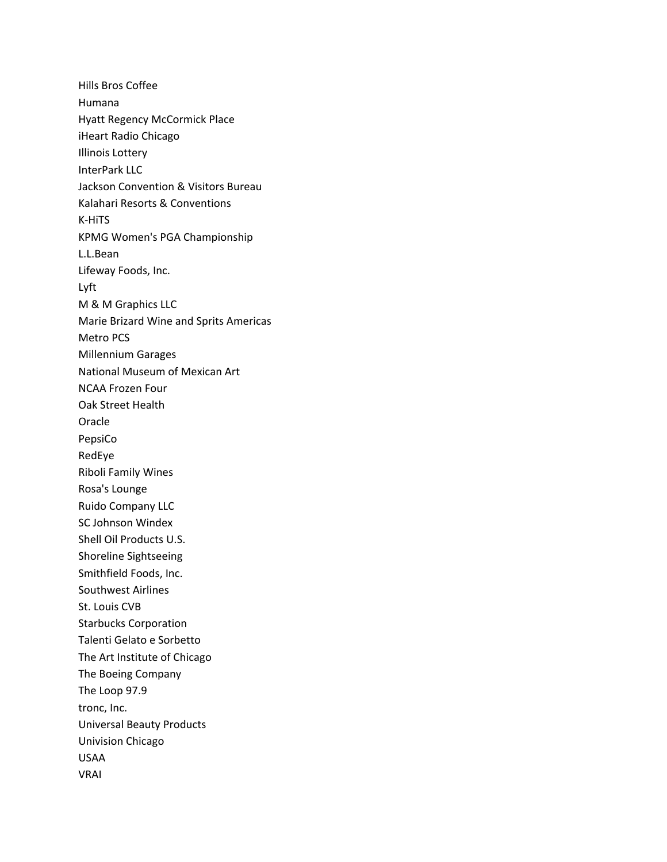Hills Bros Coffee Hyatt Regency McCormick Place iHeart Radio Chicago Illinois Lottery InterPark LLC Jackson Convention & Visitors Bureau Kalahari Resorts & Conventions KPMG Women's PGA Championship Lifeway Foods, Inc. M & M Graphics LLC Marie Brizard Wine and Sprits Americas Metro PCS Millennium Garages National Museum of Mexican Art NCAA Frozen Four Oak Street Health Riboli Family Wines Rosa's Lounge Ruido Company LLC SC Johnson Windex Shell Oil Products U.S. Shoreline Sightseeing Smithfield Foods, Inc. Southwest Airlines St. Louis CVB Starbucks Corporation Talenti Gelato e Sorbetto The Art Institute of Chicago The Boeing Company The Loop 97.9 tronc, Inc. Universal Beauty Products Univision Chicago Humana K‐HiTS L.L.Bean Lyft Oracle PepsiCo RedEye USAA VRAI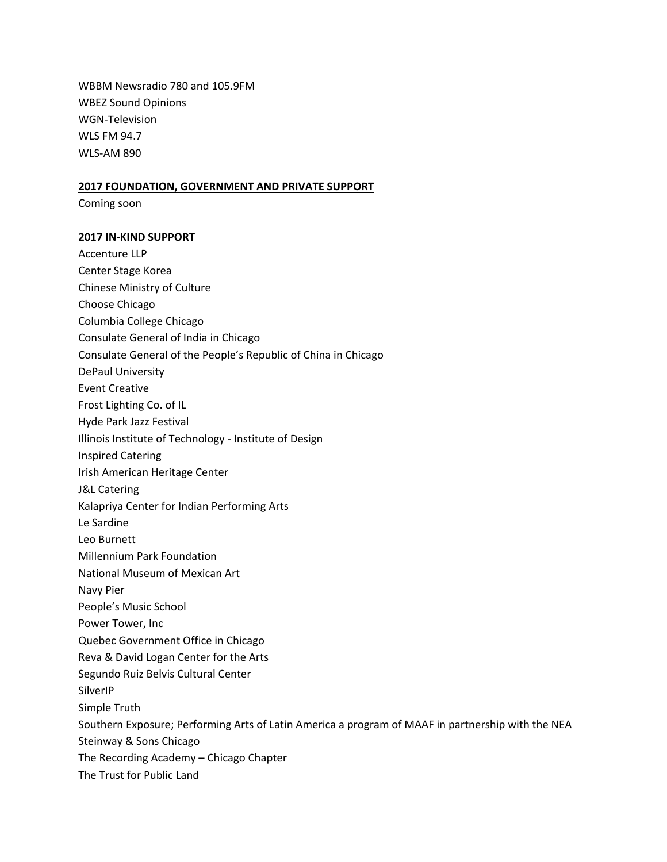WBBM Newsradio 780 and 105.9FM WBEZ Sound Opinions WLS FM 94.7 WLS‐AM 890 WGN‐Television

## **2017 FOUNDATION, GOVERNMENT AND PRIVATE SUPPORT**

Coming soon

## **2017 IN‐KIND SUPPORT**

 Accenture LLP Center Stage Korea Chinese Ministry of Culture Choose Chicago Columbia College Chicago Consulate General of India in Chicago Consulate General of the People's Republic of China in Chicago DePaul University Event Creative Frost Lighting Co. of IL Hyde Park Jazz Festival Illinois Institute of Technology ‐ Institute of Design Inspired Catering Irish American Heritage Center J&L Catering Kalapriya Center for Indian Performing Arts Le Sardine Leo Burnett Millennium Park Foundation National Museum of Mexican Art Navy Pier People's Music School Power Tower, Inc Quebec Government Office in Chicago Reva & David Logan Center for the Arts Segundo Ruiz Belvis Cultural Center Simple Truth Southern Exposure; Performing Arts of Latin America a program of MAAF in partnership with the NEA Steinway & Sons Chicago The Recording Academy – Chicago Chapter The Trust for Public LandSilverIP